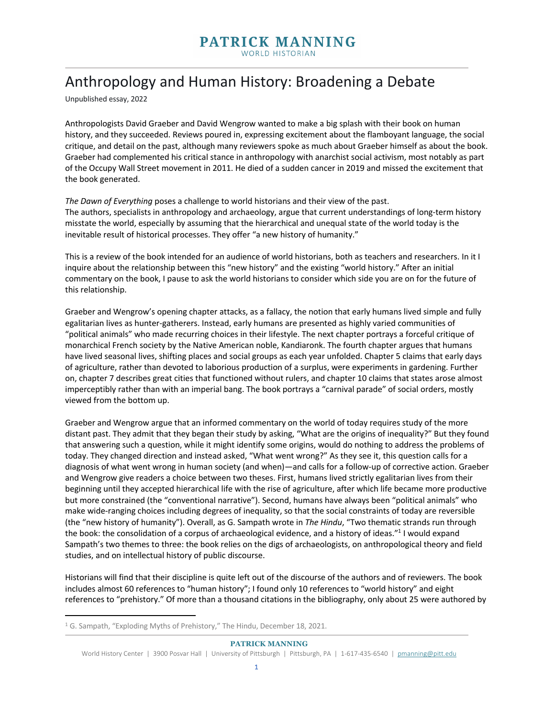## Anthropology and Human History: Broadening a Debate

Unpublished essay, 2022

Anthropologists David Graeber and David Wengrow wanted to make a big splash with their book on human history, and they succeeded. Reviews poured in, expressing excitement about the flamboyant language, the social critique, and detail on the past, although many reviewers spoke as much about Graeber himself as about the book. Graeber had complemented his critical stance in anthropology with anarchist social activism, most notably as part of the Occupy Wall Street movement in 2011. He died of a sudden cancer in 2019 and missed the excitement that the book generated.

*The Dawn of Everything* poses a challenge to world historians and their view of the past. The authors, specialists in anthropology and archaeology, argue that current understandings of long-term history misstate the world, especially by assuming that the hierarchical and unequal state of the world today is the inevitable result of historical processes. They offer "a new history of humanity."

This is a review of the book intended for an audience of world historians, both as teachers and researchers. In it I inquire about the relationship between this "new history" and the existing "world history." After an initial commentary on the book, I pause to ask the world historians to consider which side you are on for the future of this relationship.

Graeber and Wengrow's opening chapter attacks, as a fallacy, the notion that early humans lived simple and fully egalitarian lives as hunter-gatherers. Instead, early humans are presented as highly varied communities of "political animals" who made recurring choices in their lifestyle. The next chapter portrays a forceful critique of monarchical French society by the Native American noble, Kandiaronk. The fourth chapter argues that humans have lived seasonal lives, shifting places and social groups as each year unfolded. Chapter 5 claims that early days of agriculture, rather than devoted to laborious production of a surplus, were experiments in gardening. Further on, chapter 7 describes great cities that functioned without rulers, and chapter 10 claims that states arose almost imperceptibly rather than with an imperial bang. The book portrays a "carnival parade" of social orders, mostly viewed from the bottom up.

Graeber and Wengrow argue that an informed commentary on the world of today requires study of the more distant past. They admit that they began their study by asking, "What are the origins of inequality?" But they found that answering such a question, while it might identify some origins, would do nothing to address the problems of today. They changed direction and instead asked, "What went wrong?" As they see it, this question calls for a diagnosis of what went wrong in human society (and when)—and calls for a follow-up of corrective action. Graeber and Wengrow give readers a choice between two theses. First, humans lived strictly egalitarian lives from their beginning until they accepted hierarchical life with the rise of agriculture, after which life became more productive but more constrained (the "conventional narrative"). Second, humans have always been "political animals" who make wide-ranging choices including degrees of inequality, so that the social constraints of today are reversible (the "new history of humanity"). Overall, as G. Sampath wrote in *The Hindu*, "Two thematic strands run through the book: the consolidation of a corpus of archaeological evidence, and a history of ideas."<sup>1</sup> I would expand Sampath's two themes to three: the book relies on the digs of archaeologists, on anthropological theory and field studies, and on intellectual history of public discourse.

Historians will find that their discipline is quite left out of the discourse of the authors and of reviewers. The book includes almost 60 references to "human history"; I found only 10 references to "world history" and eight references to "prehistory." Of more than a thousand citations in the bibliography, only about 25 were authored by

<sup>1</sup> G. Sampath, "Exploding Myths of Prehistory," The Hindu, December 18, 2021.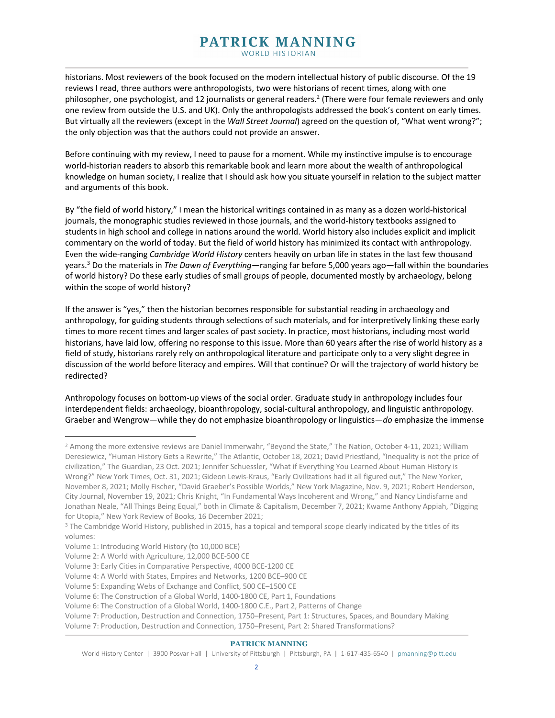historians. Most reviewers of the book focused on the modern intellectual history of public discourse. Of the 19 reviews I read, three authors were anthropologists, two were historians of recent times, along with one philosopher, one psychologist, and 12 journalists or general readers.2 (There were four female reviewers and only one review from outside the U.S. and UK). Only the anthropologists addressed the book's content on early times. But virtually all the reviewers (except in the *Wall Street Journal*) agreed on the question of, "What went wrong?"; the only objection was that the authors could not provide an answer.

Before continuing with my review, I need to pause for a moment. While my instinctive impulse is to encourage world-historian readers to absorb this remarkable book and learn more about the wealth of anthropological knowledge on human society, I realize that I should ask how you situate yourself in relation to the subject matter and arguments of this book.

By "the field of world history," I mean the historical writings contained in as many as a dozen world-historical journals, the monographic studies reviewed in those journals, and the world-history textbooks assigned to students in high school and college in nations around the world. World history also includes explicit and implicit commentary on the world of today. But the field of world history has minimized its contact with anthropology. Even the wide-ranging *Cambridge World History* centers heavily on urban life in states in the last few thousand years.3 Do the materials in *The Dawn of Everything*—ranging far before 5,000 years ago—fall within the boundaries of world history? Do these early studies of small groups of people, documented mostly by archaeology, belong within the scope of world history?

If the answer is "yes," then the historian becomes responsible for substantial reading in archaeology and anthropology, for guiding students through selections of such materials, and for interpretively linking these early times to more recent times and larger scales of past society. In practice, most historians, including most world historians, have laid low, offering no response to this issue. More than 60 years after the rise of world history as a field of study, historians rarely rely on anthropological literature and participate only to a very slight degree in discussion of the world before literacy and empires. Will that continue? Or will the trajectory of world history be redirected?

Anthropology focuses on bottom-up views of the social order. Graduate study in anthropology includes four interdependent fields: archaeology, bioanthropology, social-cultural anthropology, and linguistic anthropology. Graeber and Wengrow—while they do not emphasize bioanthropology or linguistics—*do* emphasize the immense

<sup>&</sup>lt;sup>2</sup> Among the more extensive reviews are Daniel Immerwahr, "Beyond the State," The Nation, October 4-11, 2021; William Deresiewicz, "Human History Gets a Rewrite," The Atlantic, October 18, 2021; David Priestland, "Inequality is not the price of civilization," The Guardian, 23 Oct. 2021; Jennifer Schuessler, "What if Everything You Learned About Human History is Wrong?" New York Times, Oct. 31, 2021; Gideon Lewis-Kraus, "Early Civilizations had it all figured out," The New Yorker, November 8, 2021; Molly Fischer, "David Graeber's Possible Worlds," New York Magazine, Nov. 9, 2021; Robert Henderson, City Journal, November 19, 2021; Chris Knight, "In Fundamental Ways Incoherent and Wrong," and Nancy Lindisfarne and Jonathan Neale, "All Things Being Equal," both in Climate & Capitalism, December 7, 2021; Kwame Anthony Appiah, "Digging for Utopia," New York Review of Books, 16 December 2021;<br><sup>3</sup> The Cambridge World History, published in 2015, has a topical and temporal scope clearly indicated by the titles of its

volumes:

Volume 1: Introducing World History (to 10,000 BCE)

Volume 2: A World with Agriculture, 12,000 BCE-500 CE

Volume 3: Early Cities in Comparative Perspective, 4000 BCE-1200 CE

Volume 4: A World with States, Empires and Networks, 1200 BCE–900 CE

Volume 5: Expanding Webs of Exchange and Conflict, 500 CE–1500 CE

Volume 6: The Construction of a Global World, 1400-1800 CE, Part 1, Foundations

Volume 6: The Construction of a Global World, 1400-1800 C.E., Part 2, Patterns of Change

Volume 7: Production, Destruction and Connection, 1750–Present, Part 1: Structures, Spaces, and Boundary Making Volume 7: Production, Destruction and Connection, 1750–Present, Part 2: Shared Transformations?

World History Center | 3900 Posvar Hall | University of Pittsburgh | Pittsburgh, PA | 1-617-435-6540 | pmanning@pitt.edu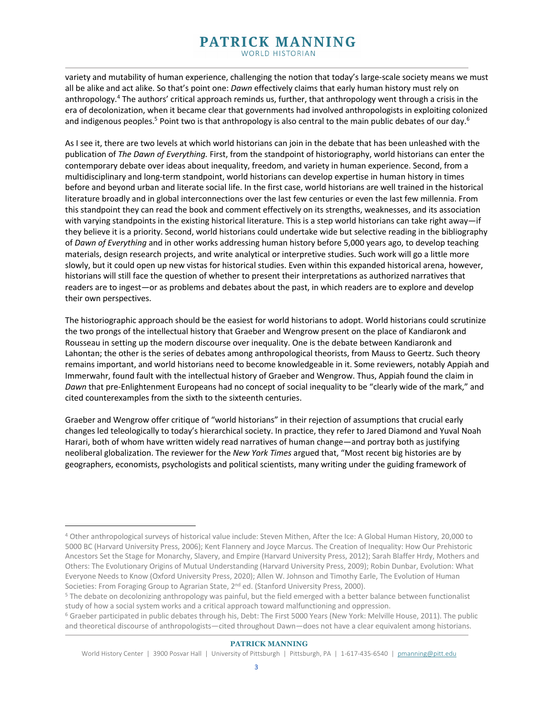# PATRICK MANNING

WORLD HISTORIAN

variety and mutability of human experience, challenging the notion that today's large-scale society means we must all be alike and act alike. So that's point one: *Dawn* effectively claims that early human history must rely on anthropology.<sup>4</sup> The authors' critical approach reminds us, further, that anthropology went through a crisis in the era of decolonization, when it became clear that governments had involved anthropologists in exploiting colonized and indigenous peoples.<sup>5</sup> Point two is that anthropology is also central to the main public debates of our day.<sup>6</sup>

As I see it, there are two levels at which world historians can join in the debate that has been unleashed with the publication of *The Dawn of Everything.* First, from the standpoint of historiography, world historians can enter the contemporary debate over ideas about inequality, freedom, and variety in human experience. Second, from a multidisciplinary and long-term standpoint, world historians can develop expertise in human history in times before and beyond urban and literate social life. In the first case, world historians are well trained in the historical literature broadly and in global interconnections over the last few centuries or even the last few millennia. From this standpoint they can read the book and comment effectively on its strengths, weaknesses, and its association with varying standpoints in the existing historical literature. This is a step world historians can take right away—if they believe it is a priority. Second, world historians could undertake wide but selective reading in the bibliography of *Dawn of Everything* and in other works addressing human history before 5,000 years ago, to develop teaching materials, design research projects, and write analytical or interpretive studies. Such work will go a little more slowly, but it could open up new vistas for historical studies. Even within this expanded historical arena, however, historians will still face the question of whether to present their interpretations as authorized narratives that readers are to ingest—or as problems and debates about the past, in which readers are to explore and develop their own perspectives.

The historiographic approach should be the easiest for world historians to adopt. World historians could scrutinize the two prongs of the intellectual history that Graeber and Wengrow present on the place of Kandiaronk and Rousseau in setting up the modern discourse over inequality. One is the debate between Kandiaronk and Lahontan; the other is the series of debates among anthropological theorists, from Mauss to Geertz. Such theory remains important, and world historians need to become knowledgeable in it. Some reviewers, notably Appiah and Immerwahr, found fault with the intellectual history of Graeber and Wengrow. Thus, Appiah found the claim in *Dawn* that pre-Enlightenment Europeans had no concept of social inequality to be "clearly wide of the mark," and cited counterexamples from the sixth to the sixteenth centuries.

Graeber and Wengrow offer critique of "world historians" in their rejection of assumptions that crucial early changes led teleologically to today's hierarchical society. In practice, they refer to Jared Diamond and Yuval Noah Harari, both of whom have written widely read narratives of human change—and portray both as justifying neoliberal globalization. The reviewer for the *New York Times* argued that, "Most recent big histories are by geographers, economists, psychologists and political scientists, many writing under the guiding framework of

<sup>4</sup> Other anthropological surveys of historical value include: Steven Mithen, After the Ice: A Global Human History, 20,000 to 5000 BC (Harvard University Press, 2006); Kent Flannery and Joyce Marcus. The Creation of Inequality: How Our Prehistoric Ancestors Set the Stage for Monarchy, Slavery, and Empire (Harvard University Press, 2012); Sarah Blaffer Hrdy, Mothers and Others: The Evolutionary Origins of Mutual Understanding (Harvard University Press, 2009); Robin Dunbar, Evolution: What Everyone Needs to Know (Oxford University Press, 2020); Allen W. Johnson and Timothy Earle, The Evolution of Human Societies: From Foraging Group to Agrarian State, 2<sup>nd</sup> ed. (Stanford University Press, 2000).

<sup>&</sup>lt;sup>5</sup> The debate on decolonizing anthropology was painful, but the field emerged with a better balance between functionalist study of how a social system works and a critical approach toward malfunctioning and oppression.

<sup>6</sup> Graeber participated in public debates through his, Debt: The First 5000 Years (New York: Melville House, 2011). The public and theoretical discourse of anthropologists—cited throughout Dawn—does not have a clear equivalent among historians.

World History Center | 3900 Posvar Hall | University of Pittsburgh | Pittsburgh, PA | 1-617-435-6540 | pmanning@pitt.edu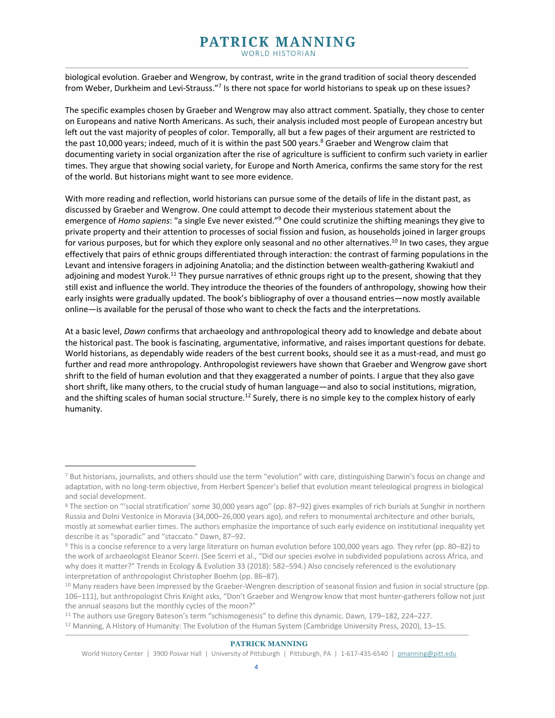biological evolution. Graeber and Wengrow, by contrast, write in the grand tradition of social theory descended from Weber, Durkheim and Levi-Strauss."7 Is there not space for world historians to speak up on these issues?

The specific examples chosen by Graeber and Wengrow may also attract comment. Spatially, they chose to center on Europeans and native North Americans. As such, their analysis included most people of European ancestry but left out the vast majority of peoples of color. Temporally, all but a few pages of their argument are restricted to the past 10,000 years; indeed, much of it is within the past 500 years.<sup>8</sup> Graeber and Wengrow claim that documenting variety in social organization after the rise of agriculture is sufficient to confirm such variety in earlier times. They argue that showing social variety, for Europe and North America, confirms the same story for the rest of the world. But historians might want to see more evidence.

With more reading and reflection, world historians can pursue some of the details of life in the distant past, as discussed by Graeber and Wengrow. One could attempt to decode their mysterious statement about the emergence of *Homo sapiens*: "a single Eve never existed."9 One could scrutinize the shifting meanings they give to private property and their attention to processes of social fission and fusion, as households joined in larger groups for various purposes, but for which they explore only seasonal and no other alternatives.<sup>10</sup> In two cases, they argue effectively that pairs of ethnic groups differentiated through interaction: the contrast of farming populations in the Levant and intensive foragers in adjoining Anatolia; and the distinction between wealth-gathering Kwakiutl and adjoining and modest Yurok.<sup>11</sup> They pursue narratives of ethnic groups right up to the present, showing that they still exist and influence the world. They introduce the theories of the founders of anthropology, showing how their early insights were gradually updated. The book's bibliography of over a thousand entries—now mostly available online—is available for the perusal of those who want to check the facts and the interpretations.

At a basic level, *Dawn* confirms that archaeology and anthropological theory add to knowledge and debate about the historical past. The book is fascinating, argumentative, informative, and raises important questions for debate. World historians, as dependably wide readers of the best current books, should see it as a must-read, and must go further and read more anthropology. Anthropologist reviewers have shown that Graeber and Wengrow gave short shrift to the field of human evolution and that they exaggerated a number of points. I argue that they also gave short shrift, like many others, to the crucial study of human language—and also to social institutions, migration, and the shifting scales of human social structure.<sup>12</sup> Surely, there is no simple key to the complex history of early humanity.

<sup>7</sup> But historians, journalists, and others should use the term "evolution" with care, distinguishing Darwin's focus on change and adaptation, with no long-term objective, from Herbert Spencer's belief that evolution meant teleological progress in biological and social development.

<sup>8</sup> The section on "'social stratification' some 30,000 years ago" (pp. 87–92) gives examples of rich burials at Sunghir in northern Russia and Dolni Vestonice in Moravia (34,000–26,000 years ago), and refers to monumental architecture and other burials, mostly at somewhat earlier times. The authors emphasize the importance of such early evidence on institutional inequality yet describe it as "sporadic" and "staccato." Dawn, 87–92.

<sup>9</sup> This is a concise reference to a very large literature on human evolution before 100,000 years ago. They refer (pp. 80–82) to the work of archaeologist Eleanor Scerri. (See Scerri et al., "Did our species evolve in subdivided populations across Africa, and why does it matter?" Trends in Ecology & Evolution 33 (2018): 582–594.) Also concisely referenced is the evolutionary interpretation of anthropologist Christopher Boehm (pp. 86–87).

<sup>&</sup>lt;sup>10</sup> Many readers have been impressed by the Graeber-Wengren description of seasonal fission and fusion in social structure (pp. 106–111), but anthropologist Chris Knight asks, "Don't Graeber and Wengrow know that most hunter-gatherers follow not just the annual seasons but the monthly cycles of the moon?"

<sup>11</sup> The authors use Gregory Bateson's term "schismogenesis" to define this dynamic. Dawn, 179–182, 224–227. <sup>12</sup> Manning, A History of Humanity: The Evolution of the Human System (Cambridge University Press, 2020), 13–15.